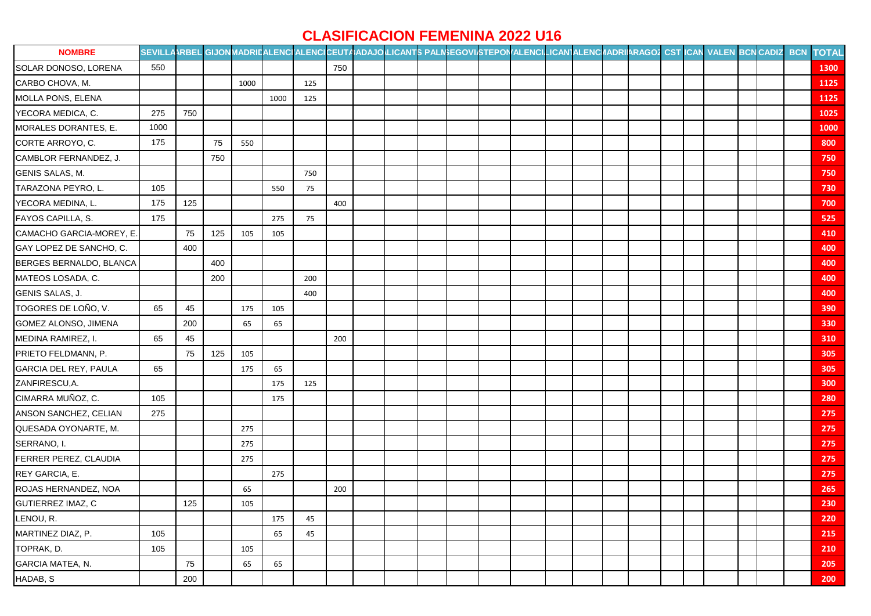## **CLASIFICACION FEMENINA 2022 U16**

| <b>NOMBRE</b>            | SEVILLAARBEL GIJON MADRILALENCI ALENCICEUTAADAJO LICANTS PALINEGOVISTEPON ALENCILICANTALENCIADRIARAGOZ CST ICAN VALEN BCN CADIZ BCN TOTAL |     |     |      |      |     |     |  |  |  |  |  |  |  |  |      |
|--------------------------|-------------------------------------------------------------------------------------------------------------------------------------------|-----|-----|------|------|-----|-----|--|--|--|--|--|--|--|--|------|
| SOLAR DONOSO, LORENA     | 550                                                                                                                                       |     |     |      |      |     | 750 |  |  |  |  |  |  |  |  | 1300 |
| CARBO CHOVA, M.          |                                                                                                                                           |     |     | 1000 |      | 125 |     |  |  |  |  |  |  |  |  | 1125 |
| MOLLA PONS, ELENA        |                                                                                                                                           |     |     |      | 1000 | 125 |     |  |  |  |  |  |  |  |  | 1125 |
| YECORA MEDICA, C.        | 275                                                                                                                                       | 750 |     |      |      |     |     |  |  |  |  |  |  |  |  | 1025 |
| MORALES DORANTES, E.     | 1000                                                                                                                                      |     |     |      |      |     |     |  |  |  |  |  |  |  |  | 1000 |
| CORTE ARROYO, C.         | 175                                                                                                                                       |     | 75  | 550  |      |     |     |  |  |  |  |  |  |  |  | 800  |
| CAMBLOR FERNANDEZ, J.    |                                                                                                                                           |     | 750 |      |      |     |     |  |  |  |  |  |  |  |  | 750  |
| GENIS SALAS, M.          |                                                                                                                                           |     |     |      |      | 750 |     |  |  |  |  |  |  |  |  | 750  |
| TARAZONA PEYRO, L.       | 105                                                                                                                                       |     |     |      | 550  | 75  |     |  |  |  |  |  |  |  |  | 730  |
| YECORA MEDINA, L.        | 175                                                                                                                                       | 125 |     |      |      |     | 400 |  |  |  |  |  |  |  |  | 700  |
| FAYOS CAPILLA, S.        | 175                                                                                                                                       |     |     |      | 275  | 75  |     |  |  |  |  |  |  |  |  | 525  |
| CAMACHO GARCIA-MOREY, E. |                                                                                                                                           | 75  | 125 | 105  | 105  |     |     |  |  |  |  |  |  |  |  | 410  |
| GAY LOPEZ DE SANCHO, C.  |                                                                                                                                           | 400 |     |      |      |     |     |  |  |  |  |  |  |  |  | 400  |
| BERGES BERNALDO, BLANCA  |                                                                                                                                           |     | 400 |      |      |     |     |  |  |  |  |  |  |  |  | 400  |
| MATEOS LOSADA, C.        |                                                                                                                                           |     | 200 |      |      | 200 |     |  |  |  |  |  |  |  |  | 400  |
| GENIS SALAS, J.          |                                                                                                                                           |     |     |      |      | 400 |     |  |  |  |  |  |  |  |  | 400  |
| TOGORES DE LOÑO, V.      | 65                                                                                                                                        | 45  |     | 175  | 105  |     |     |  |  |  |  |  |  |  |  | 390  |
| GOMEZ ALONSO, JIMENA     |                                                                                                                                           | 200 |     | 65   | 65   |     |     |  |  |  |  |  |  |  |  | 330  |
| MEDINA RAMIREZ, I.       | 65                                                                                                                                        | 45  |     |      |      |     | 200 |  |  |  |  |  |  |  |  | 310  |
| PRIETO FELDMANN, P.      |                                                                                                                                           | 75  | 125 | 105  |      |     |     |  |  |  |  |  |  |  |  | 305  |
| GARCIA DEL REY, PAULA    | 65                                                                                                                                        |     |     | 175  | 65   |     |     |  |  |  |  |  |  |  |  | 305  |
| ZANFIRESCU, A.           |                                                                                                                                           |     |     |      | 175  | 125 |     |  |  |  |  |  |  |  |  | 300  |
| CIMARRA MUÑOZ, C.        | 105                                                                                                                                       |     |     |      | 175  |     |     |  |  |  |  |  |  |  |  | 280  |
| ANSON SANCHEZ, CELIAN    | 275                                                                                                                                       |     |     |      |      |     |     |  |  |  |  |  |  |  |  | 275  |
| QUESADA OYONARTE, M.     |                                                                                                                                           |     |     | 275  |      |     |     |  |  |  |  |  |  |  |  | 275  |
| SERRANO, I.              |                                                                                                                                           |     |     | 275  |      |     |     |  |  |  |  |  |  |  |  | 275  |
| FERRER PEREZ, CLAUDIA    |                                                                                                                                           |     |     | 275  |      |     |     |  |  |  |  |  |  |  |  | 275  |
| REY GARCIA, E.           |                                                                                                                                           |     |     |      | 275  |     |     |  |  |  |  |  |  |  |  | 275  |
| ROJAS HERNANDEZ, NOA     |                                                                                                                                           |     |     | 65   |      |     | 200 |  |  |  |  |  |  |  |  | 265  |
| GUTIERREZ IMAZ, C        |                                                                                                                                           | 125 |     | 105  |      |     |     |  |  |  |  |  |  |  |  | 230  |
| LENOU, R.                |                                                                                                                                           |     |     |      | 175  | 45  |     |  |  |  |  |  |  |  |  | 220  |
| MARTINEZ DIAZ, P.        | 105                                                                                                                                       |     |     |      | 65   | 45  |     |  |  |  |  |  |  |  |  | 215  |
| TOPRAK, D.               | 105                                                                                                                                       |     |     | 105  |      |     |     |  |  |  |  |  |  |  |  | 210  |
| GARCIA MATEA, N.         |                                                                                                                                           | 75  |     | 65   | 65   |     |     |  |  |  |  |  |  |  |  | 205  |
| HADAB, S                 |                                                                                                                                           | 200 |     |      |      |     |     |  |  |  |  |  |  |  |  | 200  |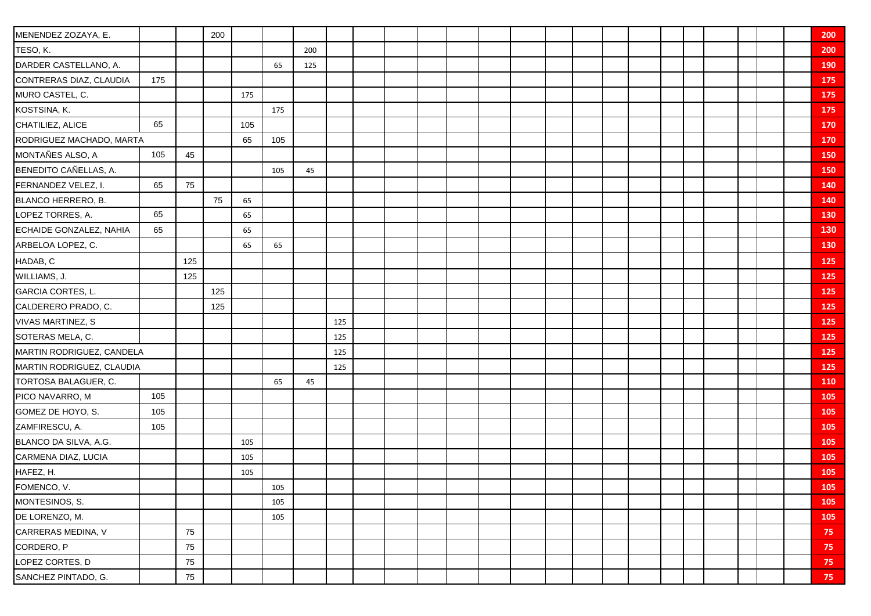| MENENDEZ ZOZAYA, E.       |     |     | 200 |     |     |     |     |  |  |  |  |  |  |  |  | 200             |
|---------------------------|-----|-----|-----|-----|-----|-----|-----|--|--|--|--|--|--|--|--|-----------------|
| TESO, K.                  |     |     |     |     |     | 200 |     |  |  |  |  |  |  |  |  | 200             |
| DARDER CASTELLANO, A.     |     |     |     |     | 65  | 125 |     |  |  |  |  |  |  |  |  | 190             |
| CONTRERAS DIAZ, CLAUDIA   | 175 |     |     |     |     |     |     |  |  |  |  |  |  |  |  | 175             |
| MURO CASTEL, C.           |     |     |     | 175 |     |     |     |  |  |  |  |  |  |  |  | 175             |
| KOSTSINA, K.              |     |     |     |     | 175 |     |     |  |  |  |  |  |  |  |  | 175             |
| CHATILIEZ, ALICE          | 65  |     |     | 105 |     |     |     |  |  |  |  |  |  |  |  | 170             |
| RODRIGUEZ MACHADO, MARTA  |     |     |     | 65  | 105 |     |     |  |  |  |  |  |  |  |  | 170             |
| MONTAÑES ALSO, A          | 105 | 45  |     |     |     |     |     |  |  |  |  |  |  |  |  | 150             |
| BENEDITO CAÑELLAS, A.     |     |     |     |     | 105 | 45  |     |  |  |  |  |  |  |  |  | 150             |
| FERNANDEZ VELEZ, I.       | 65  | 75  |     |     |     |     |     |  |  |  |  |  |  |  |  | 140             |
| BLANCO HERRERO, B.        |     |     | 75  | 65  |     |     |     |  |  |  |  |  |  |  |  | 140             |
| LOPEZ TORRES, A.          | 65  |     |     | 65  |     |     |     |  |  |  |  |  |  |  |  | 130             |
| ECHAIDE GONZALEZ, NAHIA   | 65  |     |     | 65  |     |     |     |  |  |  |  |  |  |  |  | 130             |
| ARBELOA LOPEZ, C.         |     |     |     | 65  | 65  |     |     |  |  |  |  |  |  |  |  | 130             |
| HADAB, C                  |     | 125 |     |     |     |     |     |  |  |  |  |  |  |  |  | 125             |
| WILLIAMS, J.              |     | 125 |     |     |     |     |     |  |  |  |  |  |  |  |  | 125             |
| GARCIA CORTES, L.         |     |     | 125 |     |     |     |     |  |  |  |  |  |  |  |  | 125             |
| CALDERERO PRADO, C.       |     |     | 125 |     |     |     |     |  |  |  |  |  |  |  |  | 125             |
| <b>VIVAS MARTINEZ, S</b>  |     |     |     |     |     |     | 125 |  |  |  |  |  |  |  |  | <b>125</b>      |
| SOTERAS MELA, C.          |     |     |     |     |     |     | 125 |  |  |  |  |  |  |  |  | 125             |
| MARTIN RODRIGUEZ, CANDELA |     |     |     |     |     |     | 125 |  |  |  |  |  |  |  |  | 125             |
| MARTIN RODRIGUEZ, CLAUDIA |     |     |     |     |     |     | 125 |  |  |  |  |  |  |  |  | 125             |
| TORTOSA BALAGUER, C.      |     |     |     |     | 65  | 45  |     |  |  |  |  |  |  |  |  | 110             |
| PICO NAVARRO, M           | 105 |     |     |     |     |     |     |  |  |  |  |  |  |  |  | 105             |
| GOMEZ DE HOYO, S.         | 105 |     |     |     |     |     |     |  |  |  |  |  |  |  |  | 105             |
| ZAMFIRESCU, A.            | 105 |     |     |     |     |     |     |  |  |  |  |  |  |  |  | 105             |
| BLANCO DA SILVA, A.G.     |     |     |     | 105 |     |     |     |  |  |  |  |  |  |  |  | 105             |
| CARMENA DIAZ, LUCIA       |     |     |     | 105 |     |     |     |  |  |  |  |  |  |  |  | 105             |
| HAFEZ, H.                 |     |     |     | 105 |     |     |     |  |  |  |  |  |  |  |  | 105             |
| FOMENCO, V.               |     |     |     |     | 105 |     |     |  |  |  |  |  |  |  |  | 105             |
| MONTESINOS, S.            |     |     |     |     | 105 |     |     |  |  |  |  |  |  |  |  | 105             |
| DE LORENZO, M.            |     |     |     |     | 105 |     |     |  |  |  |  |  |  |  |  | 105             |
| CARRERAS MEDINA, V        |     | 75  |     |     |     |     |     |  |  |  |  |  |  |  |  | 75              |
| CORDERO, P                |     | 75  |     |     |     |     |     |  |  |  |  |  |  |  |  | 75 <sub>1</sub> |
| LOPEZ CORTES, D           |     | 75  |     |     |     |     |     |  |  |  |  |  |  |  |  | $75 -$          |
| SANCHEZ PINTADO, G.       |     | 75  |     |     |     |     |     |  |  |  |  |  |  |  |  | $75 -$          |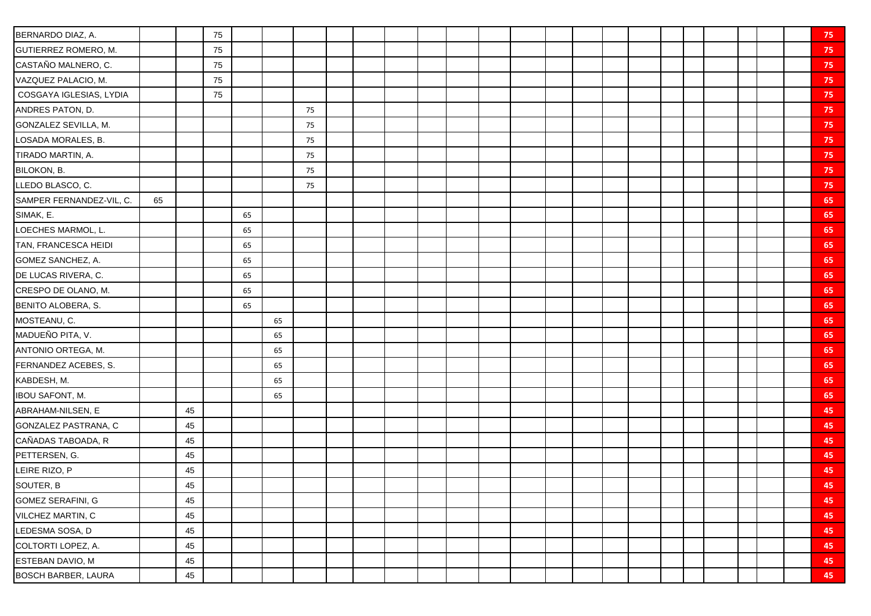| BERNARDO DIAZ, A.          |    |        | 75 |    |    |    |  |  |  |  |  |  |  |  | 75 |
|----------------------------|----|--------|----|----|----|----|--|--|--|--|--|--|--|--|----|
| GUTIERREZ ROMERO, M.       |    |        | 75 |    |    |    |  |  |  |  |  |  |  |  | 75 |
| CASTAÑO MALNERO, C.        |    |        | 75 |    |    |    |  |  |  |  |  |  |  |  | 75 |
| VAZQUEZ PALACIO, M.        |    |        | 75 |    |    |    |  |  |  |  |  |  |  |  | 75 |
| COSGAYA IGLESIAS, LYDIA    |    |        | 75 |    |    |    |  |  |  |  |  |  |  |  | 75 |
| ANDRES PATON, D.           |    |        |    |    |    | 75 |  |  |  |  |  |  |  |  | 75 |
| GONZALEZ SEVILLA, M.       |    |        |    |    |    | 75 |  |  |  |  |  |  |  |  | 75 |
| LOSADA MORALES, B.         |    |        |    |    |    | 75 |  |  |  |  |  |  |  |  | 75 |
| TIRADO MARTIN, A.          |    |        |    |    |    | 75 |  |  |  |  |  |  |  |  | 75 |
| BILOKON, B.                |    |        |    |    |    | 75 |  |  |  |  |  |  |  |  | 75 |
| LLEDO BLASCO, C.           |    |        |    |    |    | 75 |  |  |  |  |  |  |  |  | 75 |
| SAMPER FERNANDEZ-VIL, C.   | 65 |        |    |    |    |    |  |  |  |  |  |  |  |  | 65 |
| SIMAK, E.                  |    |        |    | 65 |    |    |  |  |  |  |  |  |  |  | 65 |
| LOECHES MARMOL, L.         |    |        |    | 65 |    |    |  |  |  |  |  |  |  |  | 65 |
| TAN, FRANCESCA HEIDI       |    |        |    | 65 |    |    |  |  |  |  |  |  |  |  | 65 |
| GOMEZ SANCHEZ, A.          |    |        |    | 65 |    |    |  |  |  |  |  |  |  |  | 65 |
| DE LUCAS RIVERA, C.        |    |        |    | 65 |    |    |  |  |  |  |  |  |  |  | 65 |
| CRESPO DE OLANO, M.        |    |        |    | 65 |    |    |  |  |  |  |  |  |  |  | 65 |
| BENITO ALOBERA, S.         |    |        |    | 65 |    |    |  |  |  |  |  |  |  |  | 65 |
| MOSTEANU, C.               |    |        |    |    | 65 |    |  |  |  |  |  |  |  |  | 65 |
| MADUEÑO PITA, V.           |    |        |    |    | 65 |    |  |  |  |  |  |  |  |  | 65 |
| ANTONIO ORTEGA, M.         |    |        |    |    | 65 |    |  |  |  |  |  |  |  |  | 65 |
| FERNANDEZ ACEBES, S.       |    |        |    |    | 65 |    |  |  |  |  |  |  |  |  | 65 |
| KABDESH, M.                |    |        |    |    | 65 |    |  |  |  |  |  |  |  |  | 65 |
| <b>IBOU SAFONT, M.</b>     |    |        |    |    | 65 |    |  |  |  |  |  |  |  |  | 65 |
| ABRAHAM-NILSEN, E          |    | 45     |    |    |    |    |  |  |  |  |  |  |  |  | 45 |
| GONZALEZ PASTRANA, C       |    | 45     |    |    |    |    |  |  |  |  |  |  |  |  | 45 |
| CAÑADAS TABOADA, R         |    | 45     |    |    |    |    |  |  |  |  |  |  |  |  | 45 |
| PETTERSEN, G.              |    | 45     |    |    |    |    |  |  |  |  |  |  |  |  | 45 |
| LEIRE RIZO, P              |    | 45     |    |    |    |    |  |  |  |  |  |  |  |  | 45 |
| SOUTER, B                  |    | 45     |    |    |    |    |  |  |  |  |  |  |  |  | 45 |
| GOMEZ SERAFINI, G          |    | 45     |    |    |    |    |  |  |  |  |  |  |  |  | 45 |
| VILCHEZ MARTIN, C          |    | 45     |    |    |    |    |  |  |  |  |  |  |  |  | 45 |
| LEDESMA SOSA, D            |    | $45\,$ |    |    |    |    |  |  |  |  |  |  |  |  | 45 |
| COLTORTI LOPEZ, A.         |    | 45     |    |    |    |    |  |  |  |  |  |  |  |  | 45 |
| ESTEBAN DAVIO, M           |    | 45     |    |    |    |    |  |  |  |  |  |  |  |  | 45 |
| <b>BOSCH BARBER, LAURA</b> |    | $45\,$ |    |    |    |    |  |  |  |  |  |  |  |  | 45 |